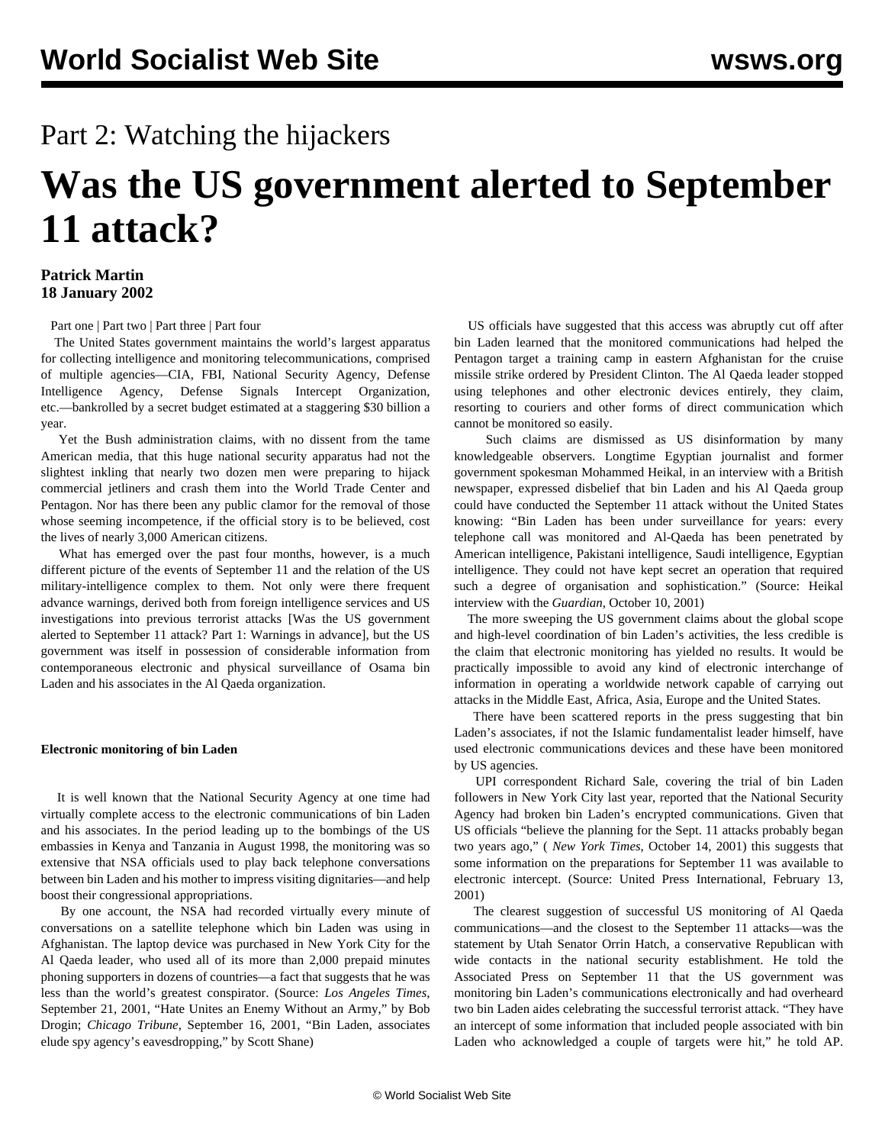## Part 2: Watching the hijackers

# **Was the US government alerted to September 11 attack?**

#### **Patrick Martin 18 January 2002**

[Part one](/en/articles/2002/01/sept-j16.html) | [Part two](/en/articles/2002/01/sept-j18.html) | [Part three](/en/articles/2002/01/sept-j22.html) | [Part four](/en/articles/2002/01/sept-j24.html)

 The United States government maintains the world's largest apparatus for collecting intelligence and monitoring telecommunications, comprised of multiple agencies—CIA, FBI, National Security Agency, Defense Intelligence Agency, Defense Signals Intercept Organization, etc.—bankrolled by a secret budget estimated at a staggering \$30 billion a year.

 Yet the Bush administration claims, with no dissent from the tame American media, that this huge national security apparatus had not the slightest inkling that nearly two dozen men were preparing to hijack commercial jetliners and crash them into the World Trade Center and Pentagon. Nor has there been any public clamor for the removal of those whose seeming incompetence, if the official story is to be believed, cost the lives of nearly 3,000 American citizens.

 What has emerged over the past four months, however, is a much different picture of the events of September 11 and the relation of the US military-intelligence complex to them. Not only were there frequent advance warnings, derived both from foreign intelligence services and US investigations into previous terrorist attacks [[Was the US government](/en/articles/2002/01/sept-j16.html) [alerted to September 11 attack? Part 1: Warnings in advance](/en/articles/2002/01/sept-j16.html)], but the US government was itself in possession of considerable information from contemporaneous electronic and physical surveillance of Osama bin Laden and his associates in the Al Qaeda organization.

#### **Electronic monitoring of bin Laden**

 It is well known that the National Security Agency at one time had virtually complete access to the electronic communications of bin Laden and his associates. In the period leading up to the bombings of the US embassies in Kenya and Tanzania in August 1998, the monitoring was so extensive that NSA officials used to play back telephone conversations between bin Laden and his mother to impress visiting dignitaries—and help boost their congressional appropriations.

 By one account, the NSA had recorded virtually every minute of conversations on a satellite telephone which bin Laden was using in Afghanistan. The laptop device was purchased in New York City for the Al Qaeda leader, who used all of its more than 2,000 prepaid minutes phoning supporters in dozens of countries—a fact that suggests that he was less than the world's greatest conspirator. (Source: *Los Angeles Times*, September 21, 2001, "Hate Unites an Enemy Without an Army," by Bob Drogin; *Chicago Tribune*, September 16, 2001, "Bin Laden, associates elude spy agency's eavesdropping," by Scott Shane)

 US officials have suggested that this access was abruptly cut off after bin Laden learned that the monitored communications had helped the Pentagon target a training camp in eastern Afghanistan for the cruise missile strike ordered by President Clinton. The Al Qaeda leader stopped using telephones and other electronic devices entirely, they claim, resorting to couriers and other forms of direct communication which cannot be monitored so easily.

 Such claims are dismissed as US disinformation by many knowledgeable observers. Longtime Egyptian journalist and former government spokesman Mohammed Heikal, in an interview with a British newspaper, expressed disbelief that bin Laden and his Al Qaeda group could have conducted the September 11 attack without the United States knowing: "Bin Laden has been under surveillance for years: every telephone call was monitored and Al-Qaeda has been penetrated by American intelligence, Pakistani intelligence, Saudi intelligence, Egyptian intelligence. They could not have kept secret an operation that required such a degree of organisation and sophistication." (Source: Heikal interview with the *Guardian*, October 10, 2001)

 The more sweeping the US government claims about the global scope and high-level coordination of bin Laden's activities, the less credible is the claim that electronic monitoring has yielded no results. It would be practically impossible to avoid any kind of electronic interchange of information in operating a worldwide network capable of carrying out attacks in the Middle East, Africa, Asia, Europe and the United States.

 There have been scattered reports in the press suggesting that bin Laden's associates, if not the Islamic fundamentalist leader himself, have used electronic communications devices and these have been monitored by US agencies.

 UPI correspondent Richard Sale, covering the trial of bin Laden followers in New York City last year, reported that the National Security Agency had broken bin Laden's encrypted communications. Given that US officials "believe the planning for the Sept. 11 attacks probably began two years ago," ( *New York Times*, October 14, 2001) this suggests that some information on the preparations for September 11 was available to electronic intercept. (Source: United Press International, February 13, 2001)

 The clearest suggestion of successful US monitoring of Al Qaeda communications—and the closest to the September 11 attacks—was the statement by Utah Senator Orrin Hatch, a conservative Republican with wide contacts in the national security establishment. He told the Associated Press on September 11 that the US government was monitoring bin Laden's communications electronically and had overheard two bin Laden aides celebrating the successful terrorist attack. "They have an intercept of some information that included people associated with bin Laden who acknowledged a couple of targets were hit," he told AP.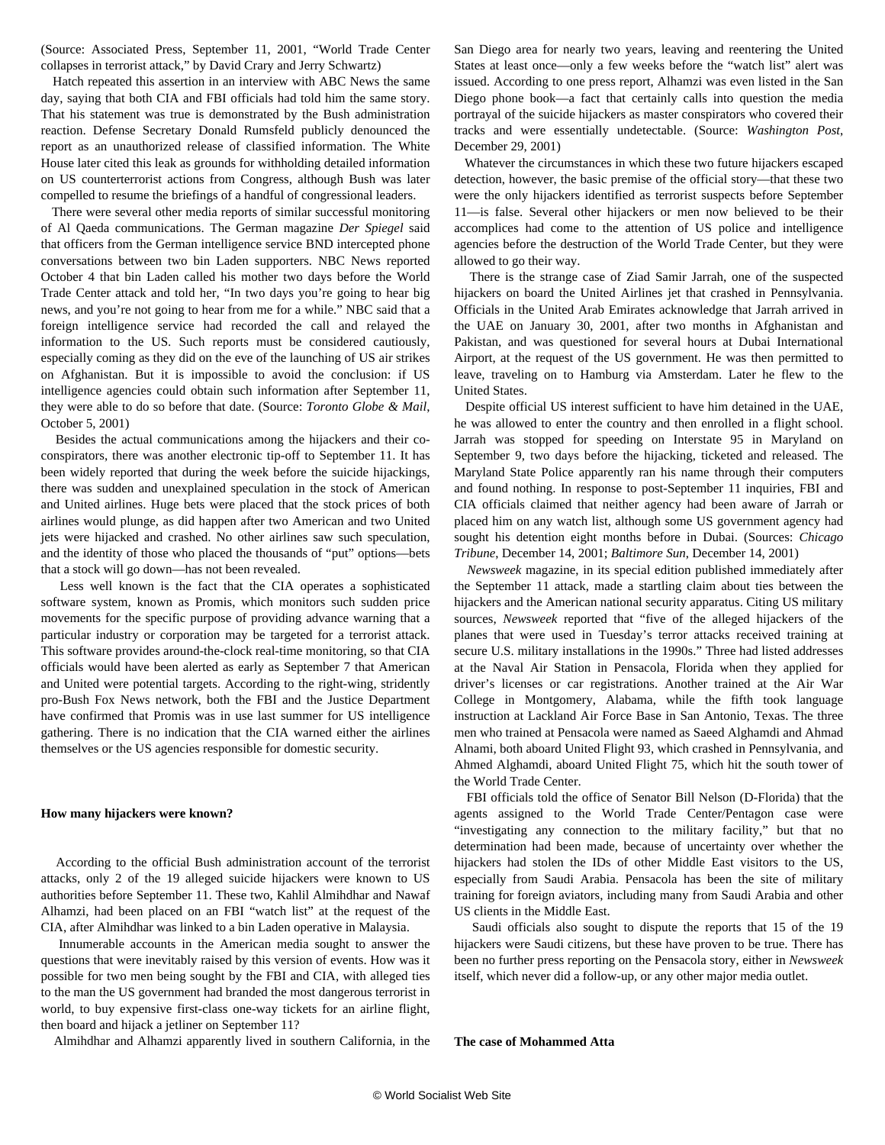(Source: Associated Press, September 11, 2001, "World Trade Center collapses in terrorist attack," by David Crary and Jerry Schwartz)

 Hatch repeated this assertion in an interview with ABC News the same day, saying that both CIA and FBI officials had told him the same story. That his statement was true is demonstrated by the Bush administration reaction. Defense Secretary Donald Rumsfeld publicly denounced the report as an unauthorized release of classified information. The White House later cited this leak as grounds for withholding detailed information on US counterterrorist actions from Congress, although Bush was later compelled to resume the briefings of a handful of congressional leaders.

 There were several other media reports of similar successful monitoring of Al Qaeda communications. The German magazine *Der Spiegel* said that officers from the German intelligence service BND intercepted phone conversations between two bin Laden supporters. NBC News reported October 4 that bin Laden called his mother two days before the World Trade Center attack and told her, "In two days you're going to hear big news, and you're not going to hear from me for a while." NBC said that a foreign intelligence service had recorded the call and relayed the information to the US. Such reports must be considered cautiously, especially coming as they did on the eve of the launching of US air strikes on Afghanistan. But it is impossible to avoid the conclusion: if US intelligence agencies could obtain such information after September 11, they were able to do so before that date. (Source: *Toronto Globe & Mail*, October 5, 2001)

 Besides the actual communications among the hijackers and their coconspirators, there was another electronic tip-off to September 11. It has been widely reported that during the week before the suicide hijackings, there was sudden and unexplained speculation in the stock of American and United airlines. Huge bets were placed that the stock prices of both airlines would plunge, as did happen after two American and two United jets were hijacked and crashed. No other airlines saw such speculation, and the identity of those who placed the thousands of "put" options—bets that a stock will go down—has not been revealed.

 Less well known is the fact that the CIA operates a sophisticated software system, known as Promis, which monitors such sudden price movements for the specific purpose of providing advance warning that a particular industry or corporation may be targeted for a terrorist attack. This software provides around-the-clock real-time monitoring, so that CIA officials would have been alerted as early as September 7 that American and United were potential targets. According to the right-wing, stridently pro-Bush Fox News network, both the FBI and the Justice Department have confirmed that Promis was in use last summer for US intelligence gathering. There is no indication that the CIA warned either the airlines themselves or the US agencies responsible for domestic security.

#### **How many hijackers were known?**

 According to the official Bush administration account of the terrorist attacks, only 2 of the 19 alleged suicide hijackers were known to US authorities before September 11. These two, Kahlil Almihdhar and Nawaf Alhamzi, had been placed on an FBI "watch list" at the request of the CIA, after Almihdhar was linked to a bin Laden operative in Malaysia.

 Innumerable accounts in the American media sought to answer the questions that were inevitably raised by this version of events. How was it possible for two men being sought by the FBI and CIA, with alleged ties to the man the US government had branded the most dangerous terrorist in world, to buy expensive first-class one-way tickets for an airline flight, then board and hijack a jetliner on September 11?

Almihdhar and Alhamzi apparently lived in southern California, in the

San Diego area for nearly two years, leaving and reentering the United States at least once—only a few weeks before the "watch list" alert was issued. According to one press report, Alhamzi was even listed in the San Diego phone book—a fact that certainly calls into question the media portrayal of the suicide hijackers as master conspirators who covered their tracks and were essentially undetectable. (Source: *Washington Post*, December 29, 2001)

 Whatever the circumstances in which these two future hijackers escaped detection, however, the basic premise of the official story—that these two were the only hijackers identified as terrorist suspects before September 11—is false. Several other hijackers or men now believed to be their accomplices had come to the attention of US police and intelligence agencies before the destruction of the World Trade Center, but they were allowed to go their way.

 There is the strange case of Ziad Samir Jarrah, one of the suspected hijackers on board the United Airlines jet that crashed in Pennsylvania. Officials in the United Arab Emirates acknowledge that Jarrah arrived in the UAE on January 30, 2001, after two months in Afghanistan and Pakistan, and was questioned for several hours at Dubai International Airport, at the request of the US government. He was then permitted to leave, traveling on to Hamburg via Amsterdam. Later he flew to the United States.

 Despite official US interest sufficient to have him detained in the UAE, he was allowed to enter the country and then enrolled in a flight school. Jarrah was stopped for speeding on Interstate 95 in Maryland on September 9, two days before the hijacking, ticketed and released. The Maryland State Police apparently ran his name through their computers and found nothing. In response to post-September 11 inquiries, FBI and CIA officials claimed that neither agency had been aware of Jarrah or placed him on any watch list, although some US government agency had sought his detention eight months before in Dubai. (Sources: *Chicago Tribune*, December 14, 2001; *Baltimore Sun*, December 14, 2001)

 *Newsweek* magazine, in its special edition published immediately after the September 11 attack, made a startling claim about ties between the hijackers and the American national security apparatus. Citing US military sources, *Newsweek* reported that "five of the alleged hijackers of the planes that were used in Tuesday's terror attacks received training at secure U.S. military installations in the 1990s." Three had listed addresses at the Naval Air Station in Pensacola, Florida when they applied for driver's licenses or car registrations. Another trained at the Air War College in Montgomery, Alabama, while the fifth took language instruction at Lackland Air Force Base in San Antonio, Texas. The three men who trained at Pensacola were named as Saeed Alghamdi and Ahmad Alnami, both aboard United Flight 93, which crashed in Pennsylvania, and Ahmed Alghamdi, aboard United Flight 75, which hit the south tower of the World Trade Center.

 FBI officials told the office of Senator Bill Nelson (D-Florida) that the agents assigned to the World Trade Center/Pentagon case were "investigating any connection to the military facility," but that no determination had been made, because of uncertainty over whether the hijackers had stolen the IDs of other Middle East visitors to the US, especially from Saudi Arabia. Pensacola has been the site of military training for foreign aviators, including many from Saudi Arabia and other US clients in the Middle East.

 Saudi officials also sought to dispute the reports that 15 of the 19 hijackers were Saudi citizens, but these have proven to be true. There has been no further press reporting on the Pensacola story, either in *Newsweek* itself, which never did a follow-up, or any other major media outlet.

**The case of Mohammed Atta**